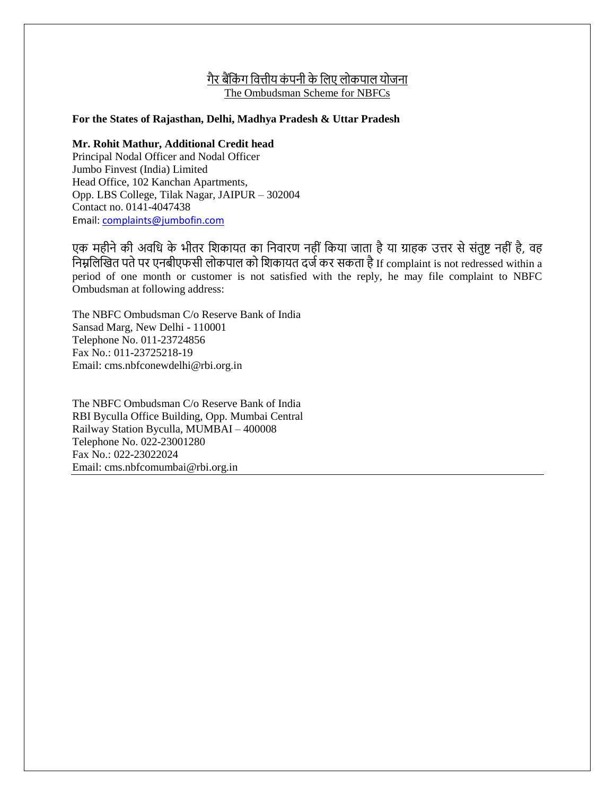## गैर बैंकिंग वित्तीय कंपनी के लिए लोकपाल योजना

The Ombudsman Scheme for NBFCs

## **For the States of Rajasthan, Delhi, Madhya Pradesh & Uttar Pradesh**

## **Mr. Rohit Mathur, Additional Credit head**

Principal Nodal Officer and Nodal Officer Jumbo Finvest (India) Limited Head Office, 102 Kanchan Apartments, Opp. LBS College, Tilak Nagar, JAIPUR – 302004 Contact no. 0141-4047438 Email: [complaints@jumbofin.com](mailto:complaints@jumbofin.com)

एक महीने की अवधि के भीतर शिकायत का निवारण नहीं किया जाता है या ग्राहक उत्तर से संतुष्ट नहीं है, वह निम्नलिखित पते पर एनबीएफसी लोकपाल को शिकायत दर्ज कर सकता है If complaint is not redressed within a period of one month or customer is not satisfied with the reply, he may file complaint to NBFC Ombudsman at following address:

The NBFC Ombudsman C/o Reserve Bank of India Sansad Marg, New Delhi - 110001 Telephone No. 011-23724856 Fax No.: 011-23725218-19 Email: cms.nbfconewdelhi@rbi.org.in

The NBFC Ombudsman C/o Reserve Bank of India RBI Byculla Office Building, Opp. Mumbai Central Railway Station Byculla, MUMBAI – 400008 Telephone No. 022-23001280 Fax No.: 022-23022024 Email: cms.nbfcomumbai@rbi.org.in